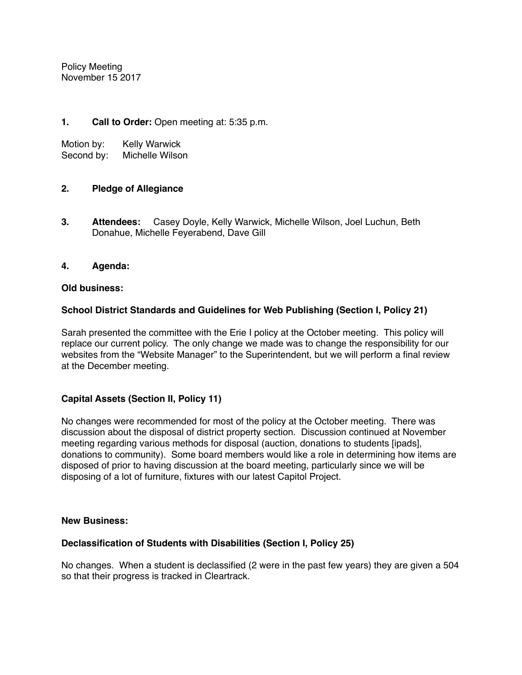Policy Meeting November 15 2017

## **1. Call to Order:** Open meeting at: 5:35 p.m.

Motion by: Kelly Warwick

Second by: Michelle Wilson

## **2. Pledge of Allegiance**

**3. Attendees:** Casey Doyle, Kelly Warwick, Michelle Wilson, Joel Luchun, Beth Donahue, Michelle Feyerabend, Dave Gill

## **4. Agenda:**

#### **Old business:**

## **School District Standards and Guidelines for Web Publishing (Section I, Policy 21)**

Sarah presented the committee with the Erie I policy at the October meeting. This policy will replace our current policy. The only change we made was to change the responsibility for our websites from the "Website Manager" to the Superintendent, but we will perform a final review at the December meeting.

## **Capital Assets (Section II, Policy 11)**

No changes were recommended for most of the policy at the October meeting. There was discussion about the disposal of district property section. Discussion continued at November meeting regarding various methods for disposal (auction, donations to students [ipads], donations to community). Some board members would like a role in determining how items are disposed of prior to having discussion at the board meeting, particularly since we will be disposing of a lot of furniture, fixtures with our latest Capitol Project.

#### **New Business:**

## **Declassification of Students with Disabilities (Section I, Policy 25)**

No changes. When a student is declassified (2 were in the past few years) they are given a 504 so that their progress is tracked in Cleartrack.